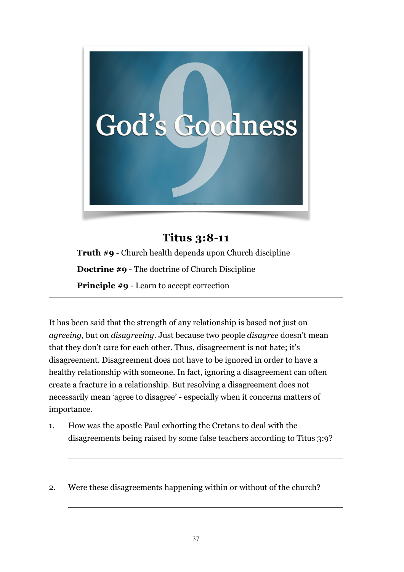

## **Titus 3:8-11**

**Truth #9** - Church health depends upon Church discipline **Doctrine #9** - The doctrine of Church Discipline **Principle #9** - Learn to accept correction

It has been said that the strength of any relationship is based not just on *agreeing*, but on *disagreeing*. Just because two people *disagree* doesn't mean that they don't care for each other. Thus, disagreement is not hate; it's disagreement. Disagreement does not have to be ignored in order to have a healthy relationship with someone. In fact, ignoring a disagreement can often create a fracture in a relationship. But resolving a disagreement does not necessarily mean 'agree to disagree' - especially when it concerns matters of importance.

- 1. How was the apostle Paul exhorting the Cretans to deal with the disagreements being raised by some false teachers according to Titus 3:9?
- 2. Were these disagreements happening within or without of the church?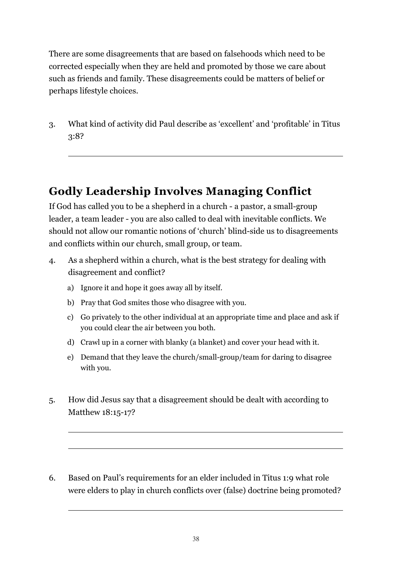There are some disagreements that are based on falsehoods which need to be corrected especially when they are held and promoted by those we care about such as friends and family. These disagreements could be matters of belief or perhaps lifestyle choices.

3. What kind of activity did Paul describe as 'excellent' and 'profitable' in Titus 3:8?

## **Godly Leadership Involves Managing Conflict**

If God has called you to be a shepherd in a church - a pastor, a small-group leader, a team leader - you are also called to deal with inevitable conflicts. We should not allow our romantic notions of 'church' blind-side us to disagreements and conflicts within our church, small group, or team.

- 4. As a shepherd within a church, what is the best strategy for dealing with disagreement and conflict?
	- a) Ignore it and hope it goes away all by itself.
	- b) Pray that God smites those who disagree with you.
	- c) Go privately to the other individual at an appropriate time and place and ask if you could clear the air between you both.
	- d) Crawl up in a corner with blanky (a blanket) and cover your head with it.
	- e) Demand that they leave the church/small-group/team for daring to disagree with you.
- 5. How did Jesus say that a disagreement should be dealt with according to Matthew 18:15-17?
- 6. Based on Paul's requirements for an elder included in Titus 1:9 what role were elders to play in church conflicts over (false) doctrine being promoted?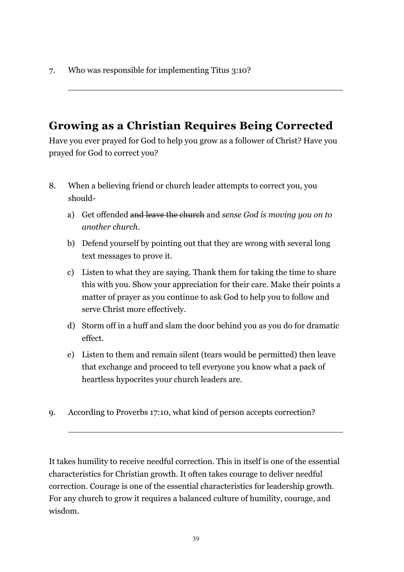7. Who was responsible for implementing Titus 3:10?

# **Growing as a Christian Requires Being Corrected**

Have you ever prayed for God to help you grow as a follower of Christ? Have you prayed for God to correct you?

- 8. When a believing friend or church leader attempts to correct you, you should
	- a) Get offended and leave the church and *sense God is moving you on to another church*.
	- b) Defend yourself by pointing out that they are wrong with several long text messages to prove it.
	- c) Listen to what they are saying. Thank them for taking the time to share this with you. Show your appreciation for their care. Make their points a matter of prayer as you continue to ask God to help you to follow and serve Christ more effectively.
	- d) Storm off in a huff and slam the door behind you as you do for dramatic effect.
	- e) Listen to them and remain silent (tears would be permitted) then leave that exchange and proceed to tell everyone you know what a pack of heartless hypocrites your church leaders are.
- 9. According to Proverbs 17:10, what kind of person accepts correction?

It takes humility to receive needful correction. This in itself is one of the essential characteristics for Christian growth. It often takes courage to deliver needful correction. Courage is one of the essential characteristics for leadership growth. For any church to grow it requires a balanced culture of humility, courage, and wisdom.